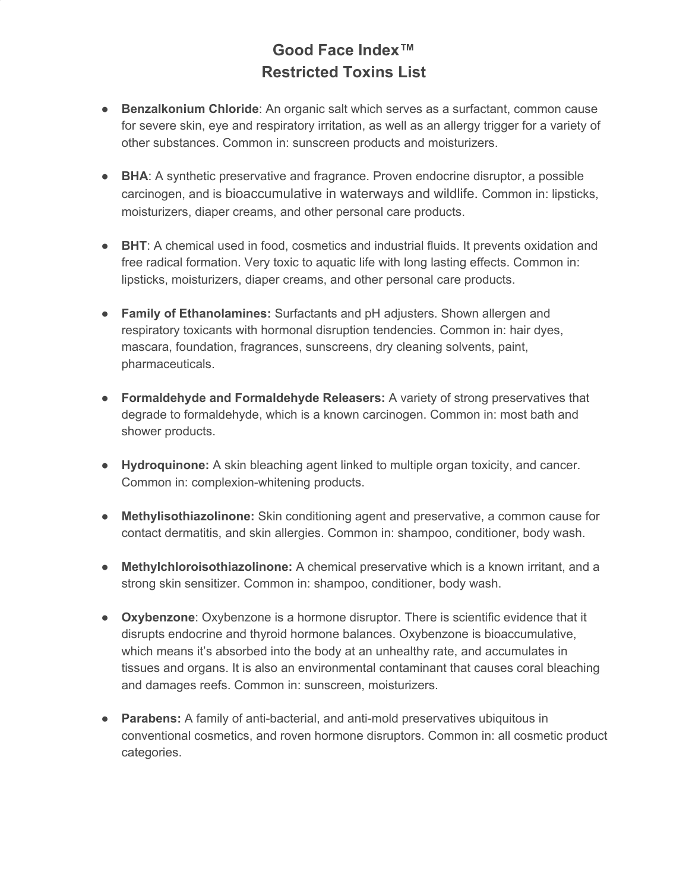## **Good Face Index™ Restricted Toxins List**

- **Benzalkonium Chloride**: An organic salt which serves as a surfactant, common cause for severe skin, eye and respiratory irritation, as well as an allergy trigger for a variety of other substances. Common in: sunscreen products and moisturizers.
- **BHA**: A synthetic preservative and fragrance. Proven endocrine disruptor, a possible carcinogen, and is bioaccumulative in waterways and wildlife. Common in: lipsticks, moisturizers, diaper creams, and other personal care products.
- **BHT**: A chemical used in food, cosmetics and industrial fluids. It prevents oxidation and free radical formation. Very toxic to aquatic life with long lasting effects. Common in: lipsticks, moisturizers, diaper creams, and other personal care products.
- **Family of Ethanolamines:** Surfactants and pH adjusters. Shown allergen and respiratory toxicants with hormonal disruption tendencies. Common in: hair dyes, mascara, foundation, fragrances, sunscreens, dry cleaning solvents, paint, pharmaceuticals.
- **Formaldehyde and Formaldehyde Releasers:** A variety of strong preservatives that degrade to formaldehyde, which is a known carcinogen. Common in: most bath and shower products.
- **Hydroquinone:** A skin bleaching agent linked to multiple organ toxicity, and cancer. Common in: complexion-whitening products.
- **Methylisothiazolinone:** Skin conditioning agent and preservative, a common cause for contact dermatitis, and skin allergies. Common in: shampoo, conditioner, body wash.
- **Methylchloroisothiazolinone:** A chemical preservative which is a known irritant, and a strong skin sensitizer. Common in: shampoo, conditioner, body wash.
- **Oxybenzone**: Oxybenzone is a hormone disruptor. There is scientific evidence that it disrupts endocrine and thyroid hormone balances. Oxybenzone is bioaccumulative, which means it's absorbed into the body at an unhealthy rate, and accumulates in tissues and organs. It is also an environmental contaminant that causes coral bleaching and damages reefs. Common in: sunscreen, moisturizers.
- **Parabens:** A family of anti-bacterial, and anti-mold preservatives ubiquitous in conventional cosmetics, and roven hormone disruptors. Common in: all cosmetic product categories.